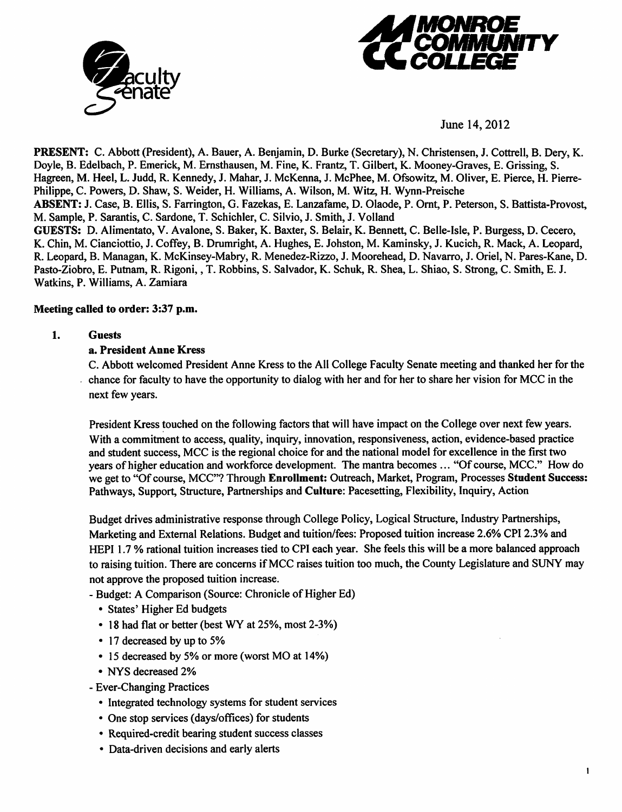



June 14,2012

*PRESENT:* C. Abbott (President), A. Bauer, A. Benjamin, D. Burke (Secretary), N. Christensen, J. Cottrell, B. Dery, K. Doyle, B. Edelbach, P. Emerick, M. Ernsthausen, M. Fine, K. Frantz, T. Gilbert, K. Mooney-Graves, E. Grissing, S. Hagreen, M. Heel, L. Judd, R. Kennedy, J. Mahar, J. McKenna, J. McPhee, M. Ofsowitz, M. Oliver, E. Pierce, H. Pierre-Philippe, C. Powers, D. Shaw, S. Weider, H. Williams, A. Wilson, M. Witz, H. Wynn-Preische *ABSENT: J.* Case, B. Ellis, S. Farrington, G. Fazekas, E. Lanzafame, D. Olaode, P. Ornt, P. Peterson, S. Battista-Provost, M. Sample, P. Sarantis, C. Sardone, T. Schichler, C. Silvio, J. Smith, J. Volland *GUESTS:* D. Alimentato, V. Avalone, S. Baker, K. Baxter, S. Belair, K. Bennett, C. Belle-Isle, P. Burgess, D. Cecero, K. Chin, M. Cianciottio, J. Coffey, B. Drumright, A. Hughes, E. Johston, M. Kaminsky, J. Kucich, R. Mack, A. Leopard, R. Leopard, B. Managan, K. McKinsey-Mabry, R. Menedez-Rizzo, J. Moorehead, D. Navarro, J. Oriel, N. Pares-Kane, D. Pasto-Ziobro, E. Putnam, R. Rigoni,, T. Robbins, S. Salvador, K. Schuk, R. Shea, L. Shiao, S. Strong, C. Smith, E. J. Watkins, P. Williams, A. Zamiara

## *Meeting called to order: 3:37 p.m.*

## *1. Guests*

## *a. President Anne Kress*

C. Abbott welcomed President Anne Kress to the All College Faculty Senate meeting and thanked her for the chance for faculty to have the opportunity to dialog with her and for her to share her vision for MCC in the next few years.

President Kress touched on the following factors that will have impact on the College over next few years. With a commitment to access, quality, inquiry, innovation, responsiveness, action, evidence-based practice and student success, MCC is the regional choice for and the national model for excellence in the first two years ofhigher education and workforce development. The mantra becomes ... "Of course, MCC." How do we get to "Of course, MCC"? Through *Enrollment:* Outreach, Market, Program, Processes *Student* Success: Pathways, Support, Structure, Partnerships and *Culture:* Pacesetting, Flexibility, Inquiry, Action

Budget drives administrative response through College Policy, Logical Structure, Industry Partnerships, Marketing and External Relations. Budget and tuition/fees: Proposed tuition increase 2.6% CPI 2.3% and HEPI 1.7 % rational tuition increases tied to CPI each year. She feels this will be a more balanced approach to raising tuition. There are concerns if MCC raises tuition too much, the County Legislature and SUNY may not approve the proposed tuition increase.

- Budget: A Comparison (Source: Chronicle of Higher Ed)
	- States' Higher Ed budgets
	- 18 had flat or better (best WY at 25%, most 2-3%)
	- 17 decreased by up to 5%
	- 15 decreased by 5% or more (worst MO at 14%)
	- NYS decreased 2%
- Ever-Changing Practices
	- Integrated technology systems for student services
	- One stop services (days/offices) for students
	- Required-credit bearing student success classes
	- Data-driven decisions and early alerts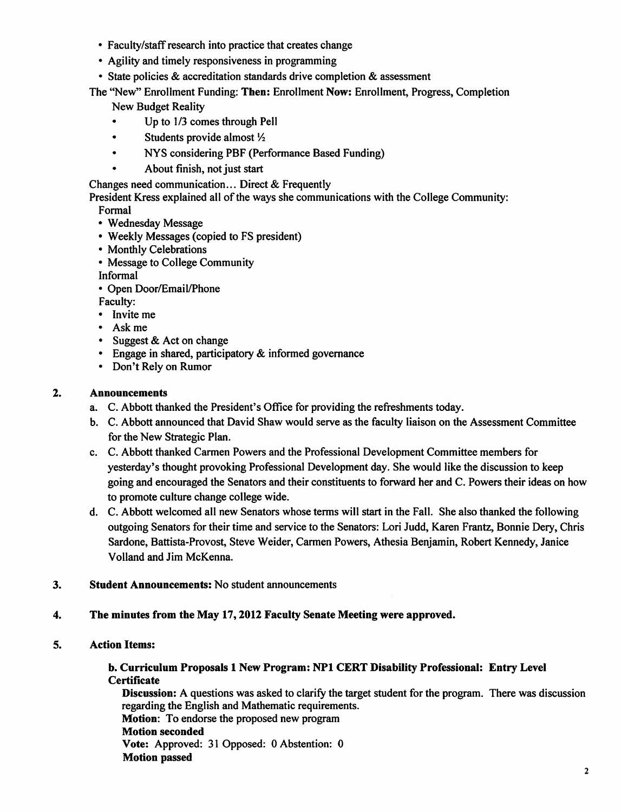- Faculty/staff research into practice that creates change
- Agility and timely responsiveness in programming
- State policies & accreditation standards drive completion & assessment

The "New" Enrollment Funding: *Then:* Enrollment Now: Enrollment, Progress, Completion

New Budget Reality

- Up to  $1/3$  comes through Pell
- Students provide almost  $\frac{1}{2}$
- NYS considering PBF (Performance Based Funding)
	- About finish, not just start

Changes need communication... Direct & Frequently

President Kress explained all of the ways she communications with the College Community:

Formal

- Wednesday Message
- Weekly Messages (copied to FS president)
- Monthly Celebrations
- Message to College Community
- Informal
- Open Door/Email/Phone
- Faculty:
- Invite me
- Ask me
- Suggest & Act on change
- Engage in shared, participatory & informed governance
- Don't Rely on Rumor

# *2. Announcements*

- a. C. Abbott thanked the President's Office for providing the refreshments today.
- b. C. Abbott announced that David Shaw would serve as the faculty liaison on the Assessment Committee for the New Strategic Plan.
- c. C. Abbott thanked Carmen Powers and the Professional Development Committee members for yesterday's thought provoking Professional Development day. She would like the discussion to keep going and encouraged the Senators and their constituents to forward her and C. Powers their ideas on how to promote culture change college wide.
- d. C. Abbott welcomed all new Senators whose terms will start in the Fall. She also thanked the following outgoing Senators for their time and service to the Senators: Lori Judd, Karen Frantz, Bonnie Dery, Chris Sardone, Battista-Provost, Steve Weider, Carmen Powers, Athesia Benjamin, Robert Kennedy, Janice Volland and Jim McKenna.
- 3. *Student Announcements:* No student announcements
- *4. The minutes from the May 17,2012 Faculty Senate Meeting were approved.*
- *5. Action Items:*

## *b. Curriculum Proposals 1 New Program: NP1 CERT Disability Professional: Entry Level Certificate*

*Discussion:* A questions was asked to clarify the target student for the program. There was discussion regarding the English and Mathematic requirements. *Motion:* To endorse the proposed new program

*Motion seconded Vote:* Approved: 31 Opposed: 0 Abstention: 0 *Motion passed*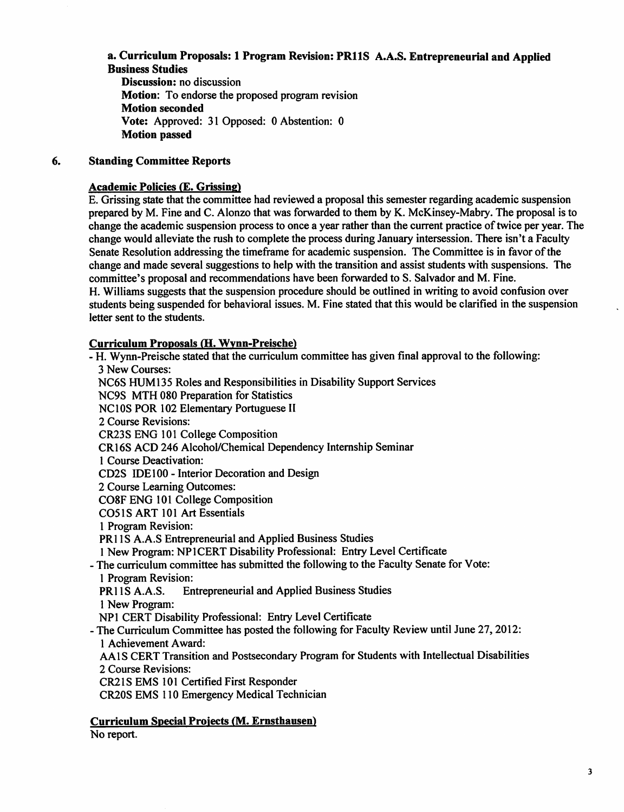# *a. Curriculum Proposals: 1 Program Revision: PR11S A.A.S. Entrepreneurial and Applied Business Studies*

*Discussion:* no discussion *Motion:* To endorse the proposed program revision *Motion seconded Vote:* Approved: 31 Opposed: 0 Abstention: 0 *Motion passed*

# *6. Standing Committee Reports*

## *Academic Policies* **(E.** *Grissing)*

E. Grissing state that the committee had reviewed a proposal this semester regarding academic suspension prepared by M. Fine and C. Alonzo that was forwarded to them by K. McKinsey-Mabry. The proposal is to change the academic suspension process to once a year rather than the current practice oftwice per year. The change would alleviate the rush to complete the process during January intersession. There isn't a Faculty Senate Resolution addressing the timeframe for academic suspension. The Committee is in favor ofthe change and made several suggestions to help with the transition and assist students with suspensions. The committee's proposal and recommendations have been forwarded to S. Salvador and M. Fine. H. Williams suggests that the suspension procedure should be outlined in writing to avoid confusion over students being suspended for behavioral issues. M. Fine stated that this would be clarified in the suspension letter sent to the students.

## *Curriculum Proposals (H. Wvnn-Preische)*

- H. Wynn-Preische stated that the curriculum committee has given final approval to the following: 3 New Courses: NC6S HUM135 Roles and Responsibilities in Disability Support Services NC9S MTH 080 Preparation for Statistics NCIOSPOR 102 Elementary Portuguese II 2 Course Revisions: CR23S ENG 101 College Composition CR16S ACD 246 Alcohol/Chemical Dependency Internship Seminar 1 Course Deactivation: CD2S IDE 100 - Interior Decoration and Design 2 Course Learning Outcomes: C08F ENG 101 College Composition C051S ART 101 Art Essentials 1 Program Revision: PR1IS A.A.S Entrepreneurial and Applied Business Studies 1 New Program: NP1CERT Disability Professional: Entry Level Certificate - The curriculum committee has submitted the following to the Faculty Senate for Vote: 1 Program Revision:<br>PR11S A.A.S. En Entrepreneurial and Applied Business Studies 1 New Program: NP1 CERT Disability Professional: Entry Level Certificate - The Curriculum Committee has posted the following for Faculty Review until June 27,2012: 1 Achievement Award: AA1S CERT Transition and Postsecondary Program for Students with Intellectual Disabilities 2 Course Revisions: CR21S EMS 101 Certified First Responder CR20S EMS 110 Emergency Medical Technician

*Curriculum Special Projects (M. Ernsthausen)*

No report.